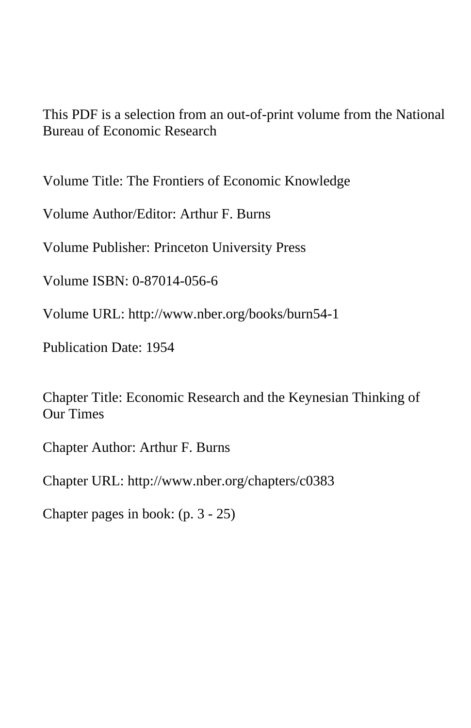This PDF is a selection from an out-of-print volume from the National Bureau of Economic Research

Volume Title: The Frontiers of Economic Knowledge

Volume Author/Editor: Arthur F. Burns

Volume Publisher: Princeton University Press

Volume ISBN: 0-87014-056-6

Volume URL: http://www.nber.org/books/burn54-1

Publication Date: 1954

Chapter Title: Economic Research and the Keynesian Thinking of Our Times

Chapter Author: Arthur F. Burns

Chapter URL: http://www.nber.org/chapters/c0383

Chapter pages in book: (p. 3 - 25)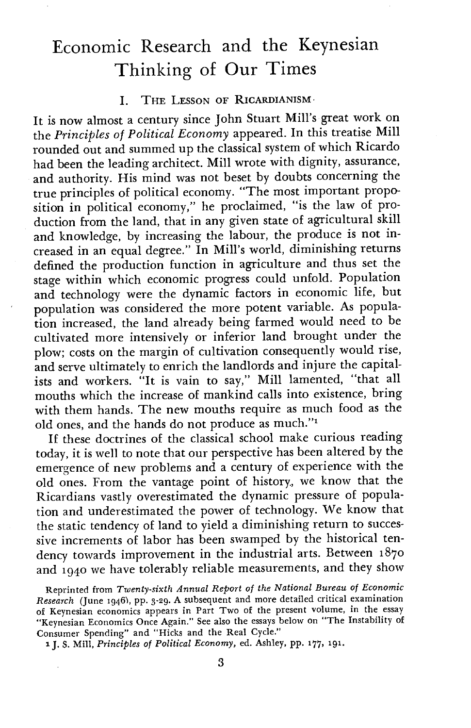# Economic Research and the Keynesian Thinking of Our Times

## I. THE LESSON OF RICARDIANISM.

It is now almost a century since John Stuart Mill's great work on the Principles of Political Economy appeared. In this treatise Mill rounded out and summed up the classical system of which Ricardo had been the leading architect. Mill wrote with dignity, assurance, and authority. His mind was not beset by doubts concerning the true principles of political economy. "The most important proposition in political economy," he proclaimed, "is the law of production from the land, that in any given state of agricultural skill and knowledge, by increasing the labour, the produce is not increased in an equal degree." In Mill's world, diminishing returns defined the production function in agriculture and thus set the stage within which economic progress could unfold. Population and technology were the dynamic factors in economic life, but population was considered the more potent variable. As population increased, the land already being farmed would need to be cultivated more intensively or inferior land brought under the plow; costs on the margin of cultivation consequently would rise, and serve ultimately to enrich the landlords and injure the capitalists and workers. "It is vain to say," Mill lamented, "that all mouths which the increase of mankind calls into existence, bring with them hands. The new mouths require as much food as the old ones, and the hands do not produce as much."

If these doctrines of the classical school make curious reading today, it is well to note that our perspective has been altered by the emergence of new problems and a century of experience with the old ones. From the vantage point of history, we know that the Ricardians vastly overestimated the dynamic pressure of population and underestimated the power of technology. We know that the static tendency of land to yield a diminishing return to successive increments of labor has been swamped by the historical tendency towards improvement in the industrial arts. Between 1870 and  $1940$  we have tolerably reliable measurements, and they show

Reprinted from Twenty-sixth Annual Report of the National Bureau of Economic Research (June 1946, pp. 3-29. A subsequent and more detailed critical examination of Keynesian economics appears in Part Two of the present volume, in the essay "Keynesian Economics Once Again." See also the essays below on "The Instability of Consumer Spending" and "Hicks and the Real Cycle."

<sup>1</sup> J. S. Mill, Principles of Political Economy, ed. Ashley, pp. 177, 191.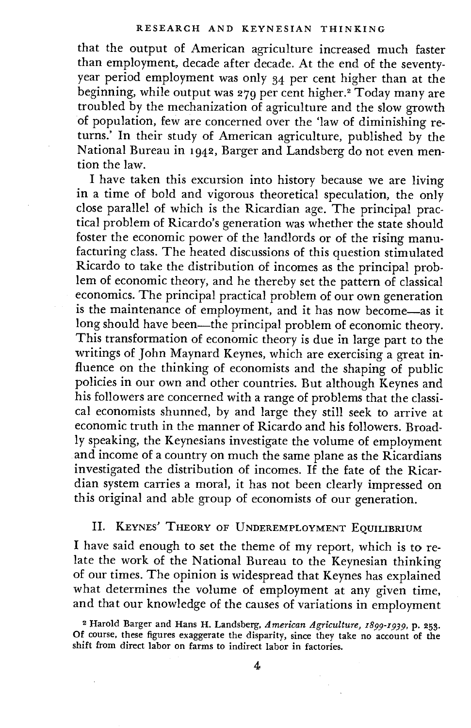that the output of American agriculture increased much faster than employment, decade after decade. At the end of the seventyyear period employment was only 34 per cent higher than at the beginning, while output was 279 per cent higher.2 Today many are troubled by the mechanization of agriculture and the slow growth of population, few are concerned over the 'law of diminishing returns.' In their study of American agriculture, published by the National Bureau in 1942, Barger and Landsberg do not even mention the law.

I have taken this excursion into history because we are living in a time of bold and vigorous theoretical speculation, the only close parallel of which is the Ricardian age. The principal practical problem of Ricardo's generation was whether the state should foster the economic power of the landlords or of the rising manufacturing class. The heated discussions of this question stimulated Ricardo to take the distribution of incomes as the principal problem of economic theory, and he thereby set the pattern of classical economics. The principal practical problem of our own generation is the maintenance of employment, and it has now become—as it long should have been—the principal problem of economic theory. This transformation of economic theory is due in large part to the writings of John Maynard Keynes, which are exercising a great influence on the thinking of economists and the shaping of public policies in our own and other countries. But although Keynes and his followers are concerned with a range of problems that the classical economists shunned, by and large they still seek to arrive at economic truth in the manner of Ricardo and his followers. Broadly speaking, the Keynesians investigate the volume of employment and income of a country on much the same plane as the Ricardians investigated the distribution of incomes. If the fate of the Ricardian system carries a moral, it has not been clearly impressed on this original and able group of economists of our generation.

# II. KEYNES' THEORY OF UNDEREMPLOYMENT EQUILIBRIUM

I have said enough to set the theme of my report, which is to relate the work of the National Bureau to the Keynesian thinking of our times. The opinion is widespread that Keynes has explained what determines the volume of employment at any given time, and that our knowledge of the causes of variations in employment

<sup>&</sup>lt;sup>2</sup> Harold Barger and Hans H. Landsberg, American Agriculture, 1899-1939, p. 253. Of course, these figures exaggerate the disparity, since they take no account of the shift from direct labor on farms to indirect labor in factories.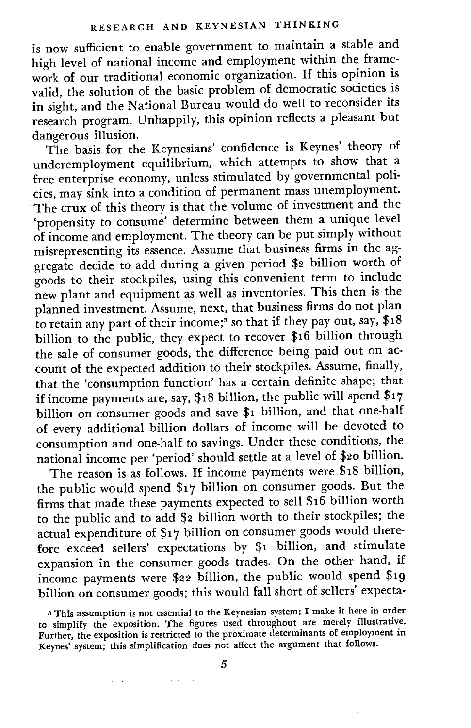is now sufficient to enable government to maintain a stable and high level of national income and employment within the framework of our traditional economic organization. If this opinion is valid, the solution of the basic problem of democratic societies is in sight, and the National Bureau would do well to reconsider its research program. Unhappily, this opinion reflects a pleasant but dangerous illusion.

The basis for the Keynesians' confidence is Keynes' theory of underemployment equilibrium, which attempts to show that a free enterprise economy, unless stimulated by governmental policies, may sink into a condition of permanent mass unemployment. The crux of this theory is that the volume of investment and the 'propensity to consume' determine between them a unique level of income and employment. The theory can be put simply without misrepresenting its essence. Assume that business firms in the aggregate decide to add during a given period \$2 billion worth of goods to their stockpiles, using this convenient term to include new plant and equipment as well as inventories. This then is the planned investment. Assume, next, that business firms do not plan to retain any part of their income;<sup>3</sup> so that if they pay out, say, \$18 billion to the public, they expect to recover \$16 billion through the sale of consumer goods, the difference being paid out on account of the expected addition to their stockpiles. Assume, finally, that the 'consumption function' has a certain definite shape; that if income payments are, say, \$18 billion, the public will spend \$17 billion on consumer goods and save \$1 billion, and that one-half of every additional billion dollars of income will be devoted to consumption and one-half to savings. Under these conditions, the national income per 'period' should settle at a level of \$20 billion.

The reason is as follows. If income payments were \$18 billion, the public would spend \$17 billion on consumer goods. But the firms that made these payments expected to sell \$16 billion worth to the public and to add \$2 billion worth to their stockpiles; the actual expenditure of \$17 billion on consumer goods would therefore exceed sellers' expectations by \$1 billion, and stimulate expansion in the consumer goods trades. On the other hand, if income payments were \$22 billion, the public would spend \$ig billion on consumer goods; this would fall short of sellers' expecta-

المتواصل والمتحدث

**Contractor** 

<sup>8</sup> This assumption is not essential to the Keynesian system; I make it here in order to simplify the exposition. The figures used throughout are merely illustrative. Further, the exposition is restricted to the proximate determinants of employment in Keynes' system; this simplification does not affect the argument that follows.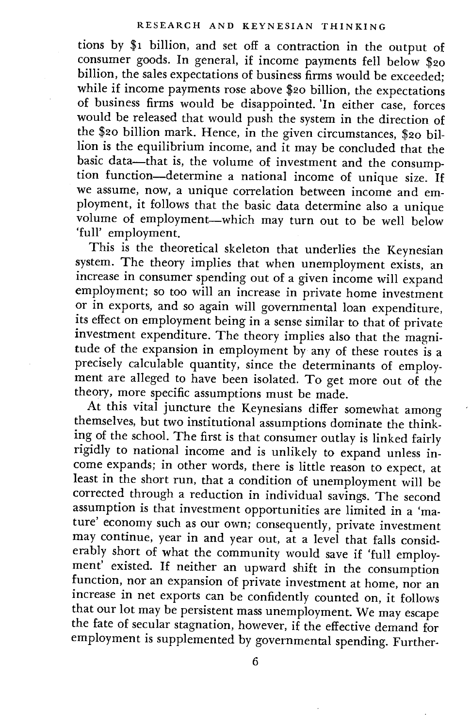tions by  $i$  billion, and set off a contraction in the output of consumer goods. In general, if income payments fell below  $i$ 20 billion, the sales expectations of business firms would be exceeded; while if income payments rose above \$20 billion, the expectations of business firms would be disappointed. 'In either case, forces would be released that would push the system in the direction of the \$20 billion mark. Hence, in the given circumstances, \$20 billion is the equilibrium income, and it may be concluded that the basic data—that is, the volume of investment and the consumption function—determine a national income of unique size. If we assume, now, a unique correlation between income and em-<br>ployment, it follows that the basic data determine also a unique volume of employment—which may turn out to be well below 'full' employment.

This is the theoretical skeleton that underlies the Keynesian system. The theory implies that when unemployment exists, an increase in consumer spending out of a given income will expand employment; so too will an increase in private home investment or in exports, and so again will governmental loan expenditure, its effect on employment being in a sense similar to that of private investment expenditure. The theory implies also that the magnitude of the expansion in employment by any of these routes is a precisely calculable quantity, since the determinants of employment are alleged to have been isolated. To get more out of the theory, more specific assumptions must be made.

At this vital juncture the Keynesians differ somewhat among themselves, but two institutional assumptions dominate the thinking of the school. The first is that consumer outlay is linked fairly rigidly to national income and is unlikely to expand unless inleast in the short run, that a condition of unemployment will be corrected through a reduction in individual savings. The second assumption is that investment opportunities are limited in a 'mature' economy such as our own; consequently, private investment<br>may continue, year in and year out, at a level that falls considerably short of what the community would save if 'full employ-<br>ment' existed. If neither an upward shift in the consumption function, nor an expansion of private investment at home, nor an increase in net exports can be confidently counted on, it follows that our lot may be persistent mass unemployment. We may escape the fate of secular stagnation, however, if the effective demand for employment is supplemented by governmental spending. Further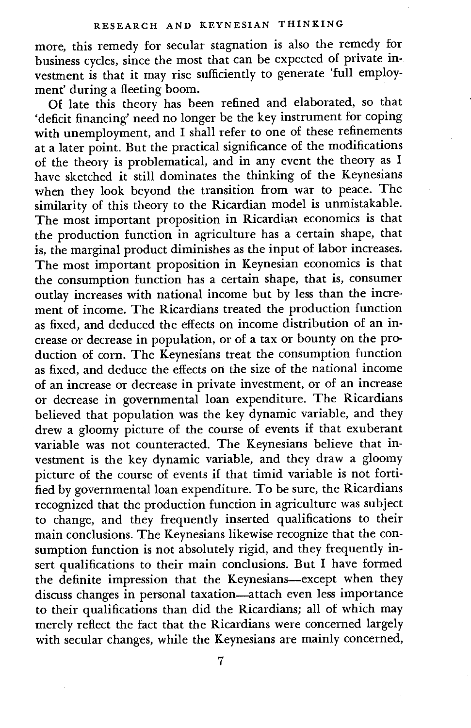more, this remedy for secular stagnation is also the remedy for business cycles, since the most that can be expected of private investment is that it may rise sufficiently to generate 'full employment' during a fleeting boom.

Of late this theory has been refined and elaborated, so that 'deficit financing' need no longer be the key instrument for coping with unemployment, and I shall refer to one of these refinements at a later point. But the practical significance of the modifications of the theory is problematical, and in any event the theory as I have sketched it still dominates the thinking of the Keynesians when they look beyond the transition from war to peace. The similarity of this theory to the Ricardian model is unmistakable. The most important proposition in Ricardian economics is that the production function in agriculture has a certain shape, that is, the marginal product diminishes as the input of labor increases. The most important proposition in Keynesian economics is that the consumption function has a certain shape, that is, consumer outlay increases with national income but by less than the increment of income. The Ricardians treated the production function as fixed, and deduced the effects on income distribution of an increase or decrease in population, or of a tax or bounty on the production of corn. The Keynesians treat the consumption function as fixed, and deduce the effects on the size of the national income of an increase or decrease in private investment, or of an increase or decrease in governmental loan expenditure. The Ricardians believed that population was the key dynamic variable, and they drew a gloomy picture of the course of events if that exuberant variable was not counteracted. The Keynesians believe that investment is the key dynamic variable, and they draw a gloomy picture of the course of events if that timid variable is not fortified by governmental loan expenditure. To be sure, the Ricardians recognized that the production function in agriculture was subject to change, and they frequently inserted qualifications to their main conclusions. The Keynesians likewise recognize that the consumption function is not absolutely rigid, and they frequently insert qualifications to their main conclusions. But I have formed the definite impression that the Keynesians—except when they discuss changes in personal taxation—attach even less importance to their qualifications than did the Ricardians; all of which may merely reflect the fact that the Ricardians were concerned largely with secular changes, while the Keynesians are mainly concerned,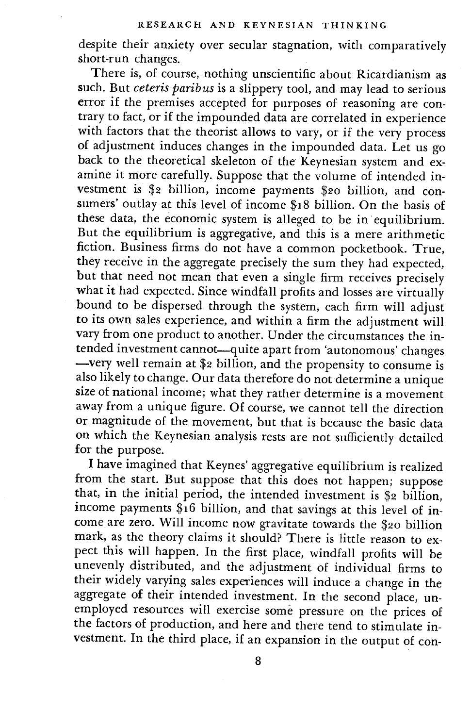despite their anxiety over secular stagnation, with comparatively short-run changes.

There is, of course, nothing unscientific about Ricardianism as such. But ceteris paribus is a slippery tool, and may lead to serious error if the premises accepted for purposes of reasoning are contrary to fact, or if the impounded data are correlated in experience with factors that the theorist allows to vary, or if the very process of adjustment induces changes in the impounded data. Let us go back to the theoretical skeleton of the Keynesian system and examine it more carefully. Suppose that the volume of intended investment is \$2 billion, income payments \$20 billion, and consumers' outlay at this level of income \$i8 billion. On the basis of these data, the economic system is alleged to be in equilibrium. But the equilibrium is aggregative, and this is a mere arithmetic fiction. Business firms do not have a common pocketbook. True, they receive in the aggregate precisely the sum they had expected, but that need not mean that even a single firm receives precisely what it had expected. Since windfall profits and losses are virtually bound to be dispersed through the system, each firm will adjust to its own sales experience, and within a firm the adjustment will vary from one product to another. Under the circumstances the intended investment cannot—quite apart from 'autonomous' changes —very well remain at \$2 billion, and the propensity to consume is also likely to change. Our data therefore do not determine a unique size of national income; what they rather determine is a movement away from a unique figure. Of course, we cannot tell the direction or magnitude of the movement, but that is because the basic data on which the Keynesian analysis rests are not sufficiently detailed for the purpose.

I have imagined that Keynes' aggregative equilibrium is realized from the start. But suppose that this does not happen; suppose that, in the initial period, the intended investment is \$2 billion, income payments  $\frac{1}{3}$  billion, and that savings at this level of income are zero. Will income now gravitate towards the \$20 billion mark, as the theory claims it should? There is little reason to expect this will happen. In the first place, windfall profits will be unevenly distributed, and the adjustment of individual firms to their widely varying sales experiences will induce a change in the aggregate of their intended investment. In the second place, unemployed resources will exercise some pressure on the prices of the factors of production, and here and there tend to stimulate investment. In the third place, if an expansion in the output of con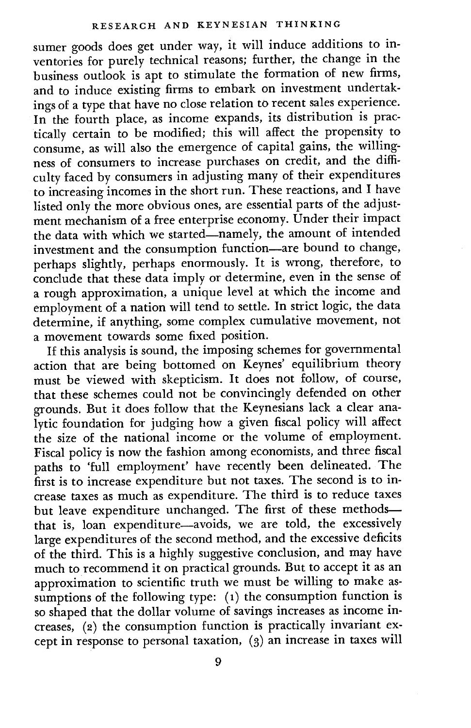sumer goods does get under way, it will induce additions to inventories for purely technical reasons; further, the change in the business outlook is apt to stimulate the formation of new firms, and to induce existing firms to embark on investment undertakings of a type that have no close relation to recent sales experience. In the fourth place, as income expands, its distribution is practically certain to be modified; this will affect the propensity to consume, as will also the emergence of capital gains, the willingness of consumers to increase purchases on credit, and the difficulty faced by consumers in adjusting many of their expenditures to increasing incomes in the short run. These reactions, and I have listed only the more obvious ones, are essential parts of the adjustment mechanism of a free enterprise economy. Under their impact the data with which we started—namely, the amount of intended investment and the consumption function—are bound to change, perhaps slightly, perhaps enormously. It is wrong, therefore, to conclude that these data imply or determine, even in the sense of a rough approximation, a unique level at which the income and employment of a nation will tend to settle. In strict logic, the data determine, if anything, some complex cumulative movement, not a movement towards some fixed position.

If this analysis is sound, the imposing schemes for governmental action that are being bottomed on Keynes' equilibrium theory must be viewed with skepticism. It does not follow, of course, that these schemes could not be convincingly defended on other grounds. But it does follow that the Keynesians lack a clear analytic foundation for judging how a given fiscal policy will affect the size of the national income or the volume of employment. Fiscal policy is now the fashion among economists, and three fiscal paths to 'full employment' have recently been delineated. The first is to increase expenditure but not taxes. The second is to increase taxes as much as expenditure. The third is to reduce taxes but leave expenditure unchanged. The first of these methods that is, loan expenditure—avoids, we are told, the excessively large expenditures of the second method, and the excessive deficits of the third. This is a highly suggestive conclusion, and may have much to recommend it on practical grounds. But to accept it as an approximation to scientific truth we must be willing to make assumptions of the following type:  $(1)$  the consumption function is so shaped that the dollar volume of savings increases as income increases, (2) the consumption function is practically invariant except in response to personal taxation,  $(3)$  an increase in taxes will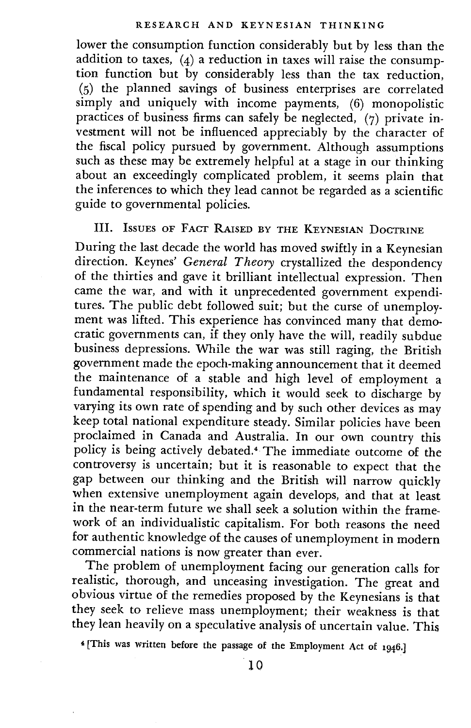lower the consumption function considerably but by less than the addition to taxes,  $(4)$  a reduction in taxes will raise the consumption function but by considerably less than the tax reduction, (5) the planned savings of business enterprises are correlated simply and uniquely with income payments, (6) monopolistic practices of business firms can safely be neglected, (7) private investment will not be influenced appreciably by the character of the fiscal policy pursued by government. Although assumptions such as these may be extremely helpful at a stage in our thinking about an exceedingly complicated problem, it seems plain that the inferences to which they lead cannot be regarded as a scientific guide to governmental policies.

# III. ISSUES OF FACT RAISED BY THE KEYNESIAN DOCTRINE

During the last decade the world has moved swiftly in a Keynesian direction. Keynes' General Theory crystallized the despondency of the thirties and gave it brilliant intellectual expression. Then came the war, and with it unprecedented government expenditures. The public debt followed suit; but the curse of unemployment was lifted. This experience has convinced many that democratic governments can, if they only have the will, readily subdue business depressions. While the war was still raging, the British government made the epoch-making announcement that it deemed the maintenance of a stable and high level of employment a fundamental responsibility, which it would seek to discharge by varying its own rate of spending and by such other devices as may keep total national expenditure steady. Similar policies have been proclaimed in Canada and Australia. In our own country this policy is being actively debated.<sup>4</sup> The immediate outcome of the controversy is uncertain; but it is reasonable to expect that the gap between our thinking and the British will narrow quickly when extensive unemployment again develops, and that at least in the near-term future we shall seek a solution within the framework of an individualistic capitalism. For both reasons the need for authentic knowledge of the causes of unemployment in modern commercial nations is now greater than ever.

The problem of unemployment facing our generation calls for realistic, thorough, and unceasing investigation. The great and obvious virtue of the remedies proposed by the Keynesians is that they seek to relieve mass unemployment; their weakness is that they lean heavily on a speculative analysis of uncertain value. This

<sup>4</sup> [This was written before the passage of the Employment Act of 1946.]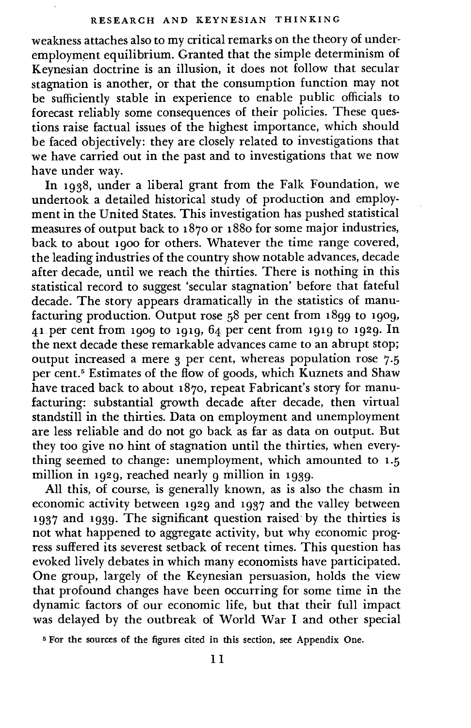weakness attaches also to my critical remarks on the theory of underemploymcnt equilibrium. Granted that the simple determinism of Keynesian doctrine is an illusion, it does not follow that secular stagnation is another, or that the consumption function may not be sufficiently stable in experience to enable public officials to forecast reliably some consequences of their policies. These questions raise factual issues of the highest importance, which should be faced objectively: they are closely related to investigations that we have carried out in the past and to investigations that we now have under way.

In 1938, under a liberal grant from the Falk Foundation, we undertook a detailed historical study of production and employment in the United States. This investigation has pushed statistical measures of output back to 1870 or i88o for some major industries, back to about 1900 for others. Whatever the time range covered, the leading industries of the country show notable advances, decade after decade, until we reach the thirties. There is nothing in this statistical record to suggest 'secular stagnation' before that fateful decade. The story appears dramatically in the statistics of manufacturing production. Output rose 58 per cent from 1899 to 1909, 41 per cent from 1909 to 1919, 64 per cent from 1919 to 1929. In the next decade these remarkable advances came to an abrupt stop; output increased a mere 3 per cent, whereas population rose 7.5 per cent.<sup>5</sup> Estimates of the flow of goods, which Kuznets and Shaw have traced back to about i 870, repeat Fabricant's story for manufacturing: substantial growth decade after decade, then virtual standstill in the thirties. Data on employment and unemployment are less reliable and do not go back as far as data on output. But they too give no hint of stagnation until the thirties, when everything seemed to change: unemployment, which amounted to 1.5 million in 1929, reached nearly 9 million in 1939.

All this, of course, is generally known, as is also the chasm in economic activity between 1929 and 1937 and the valley between 1937 and 1939. The significant question raised by the thirties is not what happened to aggregate activity, but why economic progress suffered its severest setback of recent times. This question has evoked lively debates in which many economists have participated. One group, largely of the Keynesian persuasion, holds the view that profound changes have been occurring for some time in the dynamic factors of our economic life, but that their full impact was delayed by the outbreak of World War I and other special

5 For the sources of the figures cited in this section, see Appendix One.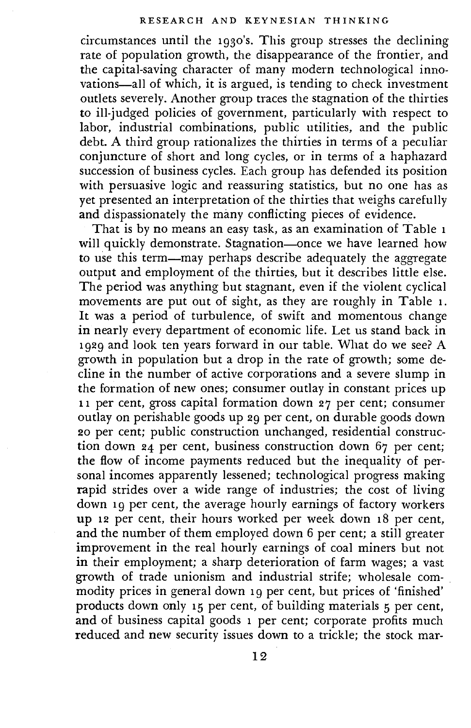circumstances until the 1930's. This group stresses the declining rate of population growth, the disappearance of the frontier, and the capital-saving character of many modern technological innovations—all of which, it is argued, is tending to check investment outlets severely. Another group traces the stagnation of the thirties to ill-judged policies of government, particularly with respect to labor, industrial combinations, public utilities, and the public debt. A third group rationalizes the thirties in terms of a peculiar conjuncture of short and long cycles, or in terms of a haphazard succession of business cycles. Each group has defended its position with persuasive logic and reassuring statistics, but no one has as yet presented an interpretation of the thirties that weighs carefully and dispassionately the many conflicting pieces of evidence.

That is by no means an easy task, as an examination of Table 1 will quickly demonstrate. Stagnation—once we have learned how to use this term\_may perhaps describe adequately the aggregate output and employment of the thirties, but it describes little else. The period was anything but stagnant, even if the violent cyclical movements are put out of sight, as they are roughly in Table i. It was a period of turbulence, of swift and momentous change in nearly every department of economic life. Let us stand back in 1929 and look ten years forward in our table. What do we see? A growth in population but a drop in the rate of growth; some decline in the number of active corporations and a severe slump in the formation of new ones; consumer outlay in constant prices up 11 per cent, gross capital formation down 27 per cent; consumer outlay on perishable goods up 29 per cent, on durable goods down 20 per cent; public construction unchanged, residential construction down 24 per cent, business construction down 67 per cent; the flow of income payments reduced but the inequality of personal incomes apparently lessened; technological progress making rapid strides over a wide range of industries; the cost of living down 19 per cent, the average hourly earnings of factory workers up 12 per cent, their hours worked per week down  $18$  per cent, and the number of them employed down 6 per cent; a still greater improvement in the real hourly earnings of coal miners but not in their employment; a sharp deterioration of farm wages; a vast growth of trade unionism and industrial strife; wholesale commodity prices in general down 19 per cent, but prices of 'finished' products down only 15 per cent, of building materials  $\zeta$  per cent, and of business capital goods 1 per cent; corporate profits much reduced and new security issues down to a trickle; the stock mar-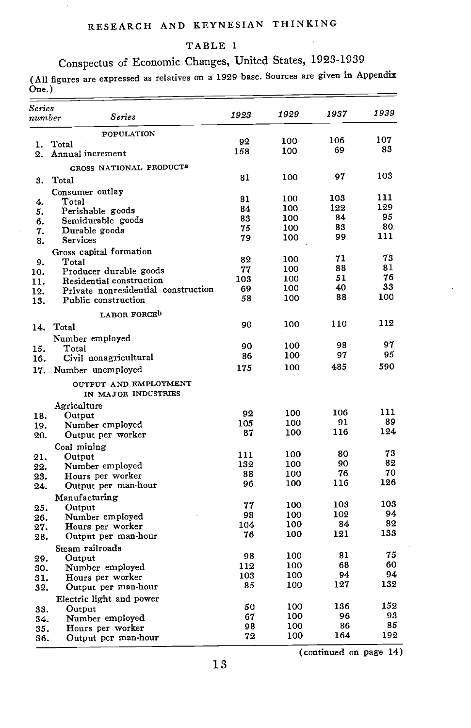#### TABLE 1

# Conspectus of Economic Changes, United States, 1923-1939

(All figures are expressed as relatives on a 1929 base. Sources are given in Appendix<br>One.)

| Series<br>number | Series                                       | 1923      | 1929       | 1937      | 1939      |
|------------------|----------------------------------------------|-----------|------------|-----------|-----------|
|                  | <b>POPULATION</b>                            |           |            |           |           |
| ı.               | Total                                        | 92        | 100        | 106<br>69 | 107<br>83 |
| 2.               | Annual increment                             | 158       | 100        |           |           |
|                  | GROSS NATIONAL PRODUCTa                      |           |            |           |           |
| 3.               | Total                                        | 81        | 100        | 97        | 103       |
|                  | Consumer outlay                              |           |            |           |           |
| 4.               | Total                                        | 81        | 100        | 103       | 111       |
| 5.               | Perishable goods                             | 84        | 100        | 122       | 129       |
| 6.               | Semidurable goods                            | 83        | 100        | 84        | 95<br>80. |
| 7.               | Durable goods                                | 75        | 100        | 83        | 111       |
| 8.               | Services                                     | 79        | 100        | 99        |           |
|                  | Gross capital formation                      |           |            | 71        | 73        |
| 9.               | Total                                        | 82        | 100<br>100 | 88        | 81        |
| 10.              | Producer durable goods                       | 77        | 100        | 51        | 76        |
| 11.              | Residential construction                     | 103<br>69 | 100        | 40        | 33        |
| 12.              | Private nonresidential construction          | 58        | 100        | 88        | 100       |
| 13.              | Public construction                          |           |            |           |           |
|                  | LABOR FORCE <sup>b</sup>                     |           |            |           |           |
| 14.              | Total                                        | 90        | 100        | 110       | 112       |
|                  | Number employed                              |           |            |           | 97        |
| 15.              | Total                                        | 90        | 100<br>100 | 98<br>97  | 95        |
| 16.              | Civil nonagricultural                        | 86        |            |           |           |
| 17.              | Number unemployed                            | 175       | 100        | 485       | 590       |
|                  | OUTPUT AND EMPLOYMENT<br>IN MAJOR INDUSTRIES |           |            |           |           |
|                  | Agriculture                                  |           |            |           |           |
| 18.              | Output                                       | 92        | 100        | 106       | 111       |
| 19.              | Number employed                              | 105       | 100        | 91        | 89        |
| 20.              | Output per worker                            | 87        | 100        | 116       | 124       |
|                  | Coal mining                                  |           |            |           |           |
| 21.              | Output                                       | 111       | 100        | 80<br>90  | 73<br>82  |
| 22.              | Number employed                              | 132       | 100        | 76        | 70        |
| 23.              | Hours per worker                             | 88<br>96  | 100<br>100 | 116       | 126       |
| 24.              | Output per man-hour                          |           |            |           |           |
|                  | Manufacturing                                | 77        | 100        | 103       | 103       |
| 25.              | Output                                       | 98        | 100        | 102       | 94        |
| 26.              | Number employed                              | 104       | 100        | 84        | 82        |
| 27.              | Hours per worker                             | 76        | 100        | 121       | 133       |
| 28.              | Output per man-hour                          |           |            |           |           |
|                  | Steam railroads                              | 98        | 100        | 81        | 75        |
| 29.              | Output<br>Number employed                    | 112       | 100        | 68        | 60        |
| 30.              |                                              | 103       | 100        | 94        | 94        |
| 31.<br>32.       | Hours per worker<br>Output per man-hour      | 85        | 100        | 127       | 132       |
|                  |                                              |           |            |           |           |
| 33.              | Electric light and power<br>Output           | 50        | 100        | 136       | 152       |
| 34.              | Number employed                              | 67        | 100        | 96        | 93        |
| 35.              | Hours per worker                             | 98        | 100        | 86        | 85        |
| 36.              | Output per man-hour                          | 72        | 100        | 164       | 192       |
|                  |                                              |           |            |           |           |

(continued on page 14)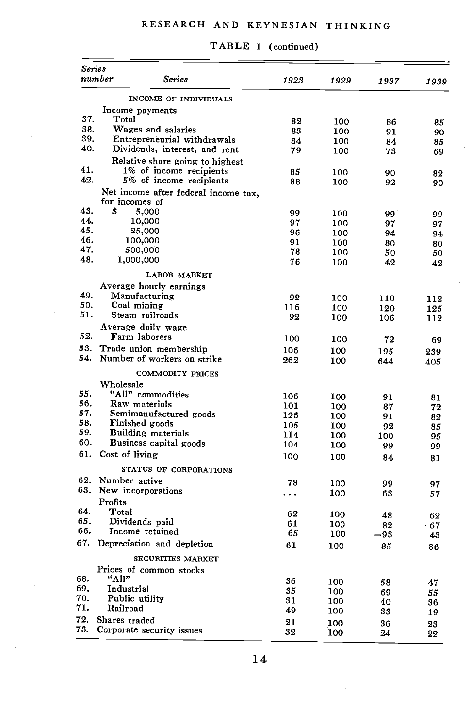## RESEARCH AND KEYNESIAN THINKING

| TABLE 1 (continued)     |                                      |      |      |      |      |
|-------------------------|--------------------------------------|------|------|------|------|
| <b>Series</b><br>number | <b>Series</b>                        | 1923 | 1929 | 1937 | 1939 |
|                         |                                      |      |      |      |      |
|                         | INCOME OF INDIVIDUALS                |      |      |      |      |
|                         | Income payments                      |      |      |      |      |
| 37.                     | Total                                | 82   | 100  | 86   | 85   |
| 38.                     | Wages and salaries                   | 83   | 100  | 91   | 90   |
| 39.                     | Entrepreneurial withdrawals          | 84   | 100  | 84   | 85   |
| 40.                     | Dividends, interest, and rent        | 79   | 100  | 73   | 69   |
|                         | Relative share going to highest      |      |      |      |      |
| 41.                     | 1% of income recipients              | 85   | 100  | 90   | 82   |
| 42.                     | 5% of income recipients              | 88   | 100  | 92   | 90   |
|                         | Net income after federal income tax, |      |      |      |      |
|                         | for incomes of                       |      |      |      |      |
| 43.                     | \$<br>5,000                          | 99   | 100  | 99   | 99   |
| 44.                     | 10,000                               | 97   | 100  | 97   | 97   |
| 45.                     | 25,000                               | 96   | 100  | 94   | 94   |
| 46.                     | 100,000                              | 91   | 100  | 80   | 80   |
| 47.                     | 500,000                              | 78   | 100  | 50   | 50   |
| 48.                     | 1,000,000                            | 76   | 100  | 42   | 42   |
|                         | <b>LABOR MARKET</b>                  |      |      |      |      |
|                         | Average hourly earnings              |      |      |      |      |
| 49.                     | Manufacturing                        | 92   | 100  | 110  | 112  |
| 50.                     | Coal mining                          | 116  | 100  | 120  | 125  |
| 51.                     | Steam railroads                      | 92   | 100  | 106  | 112  |
|                         | Average daily wage                   |      |      |      |      |
| 52.                     | Farm laborers                        | 100  | 100  | 72   | 69   |
| 53.                     | Trade union membership               | 106  | 100  | 195  |      |
|                         | $54.$ Number of workers on strike    | oco  | 300  | .    | 239  |

| 49. | Manufacturing                 | 92         | 100 | 110   | 112      |  |
|-----|-------------------------------|------------|-----|-------|----------|--|
| 50. | Coal mining                   | 116        | 100 | 120   | 125      |  |
| 51. | Steam railroads               | 92         | 100 | 106   | 112      |  |
|     | Average daily wage            |            |     |       |          |  |
| 52. | Farm laborers                 | 100        | 100 | 72    | 69       |  |
| 53. | Trade union membership        | 106        | 100 | 195   | 239      |  |
| 54. | Number of workers on strike   | 262        | 100 | 644   | 405      |  |
|     | <b>COMMODITY PRICES</b>       |            |     |       |          |  |
|     | Wholesale                     |            |     |       |          |  |
| 55. | "All" commodities             |            |     |       |          |  |
| 56. | Raw materials                 | 106        | 100 | 91    | 81       |  |
| 57. | Semimanufactured goods        | 101        | 100 | 87    | 72       |  |
| 58. | Finished goods                | 126        | 100 | 91    | 82       |  |
| 59. | Building materials            | 105<br>114 | 100 | 92    | 85       |  |
| 60. | Business capital goods        | 104        | 100 | 100   | 95       |  |
| 61. | Cost of living                |            | 100 | 99    | 99       |  |
|     |                               | 100        | 100 | 84    | 81       |  |
|     | STATUS OF CORPORATIONS        |            |     |       |          |  |
| 62. | Number active                 | 78         | 100 | 99    | 97       |  |
| 63. | New incorporations            | .          | 100 | 63    | 57       |  |
|     | Profits                       |            |     |       |          |  |
| 64. | Total                         | 62         | 100 | 48    | 62       |  |
| 65. | Dividends paid                | 61         | 100 | 82    | $-67$    |  |
| 66. | Income retained               | 65         | 100 | $-93$ | 43       |  |
| 67. | Depreciation and depletion    | 61         | 100 | 85    | 86       |  |
|     | SECURITIES MARKET             |            |     |       |          |  |
|     | Prices of common stocks       |            |     |       |          |  |
| 68. | "All"                         | 36         | 100 | 58    |          |  |
| 69. | Industrial                    | 35         | 100 | 69    | 47       |  |
| 70. | Public utility                | 31         | 100 | 40    | 55       |  |
| 71. | Railroad                      | 49         | 100 | 33    | 36<br>19 |  |
|     | 72. Shares traded             | 21         |     |       |          |  |
|     | 73. Corporate security issues | 32         | 100 | 36    | 23       |  |
|     |                               |            | 100 | 24    | 22       |  |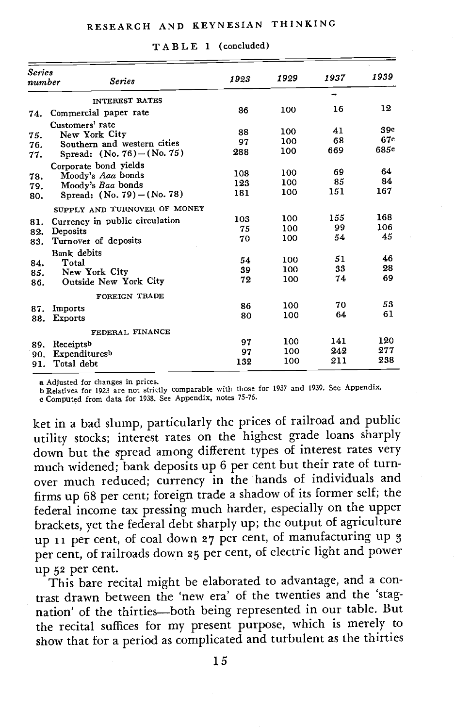### RESEARCH AND KEYNESIAN THINKING

| Series<br>number | Series                         | 1923 | 1929 | 1937 | 1939 |
|------------------|--------------------------------|------|------|------|------|
|                  |                                |      |      |      |      |
|                  | INTEREST RATES                 |      | 100  | 16   | 12   |
| 74.              | Commercial paper rate          | 86   |      |      |      |
|                  | Customers' rate                |      |      | 41   | 39c  |
| 75.              | New York City                  | 88   | 100  |      | 67c  |
| 76.              | Southern and western cities    | 97   | 100  | 68   |      |
| 77.              | Spread: $(No. 76) - (No. 75)$  | 288  | 100  | 669  | 685c |
|                  | Corporate bond yields          |      |      |      |      |
| 78.              | Moody's Aaa bonds              | 108  | 100  | 69   | 64   |
| 79.              | Moody's Baa bonds              | 123  | 100  | 85   | 84   |
| 80.              | Spread: (No. 79) - (No. 78)    | 181  | 100  | 151  | 167  |
|                  | SUPPLY AND TURNOVER OF MONEY   |      |      |      |      |
|                  |                                | 103  | 100  | 155  | 168  |
| 81.              | Currency in public circulation | 75   | 100  | 99   | 106  |
| 82.              | Deposits                       | 70   | 100  | 54   | 45   |
| 83.              | Turnover of deposits           |      |      |      |      |
|                  | Bank debits                    | 54   | 100  | 51   | 46   |
| 84.              | Total                          | 39   | 100  | 33   | 28   |
| 85.              | New York City                  | 72   | 100  | 74   | 69   |
| 86.              | Outside New York City          |      |      |      |      |
|                  | <b>FOREIGN TRADE</b>           |      |      |      |      |
| 87.              | Imports                        | 86   | 100  | 70   | 53   |
| 88.              | <b>Exports</b>                 | 80   | 100  | 64   | 61   |
|                  | FEDERAL FINANCE                |      |      |      |      |
|                  |                                | 97   | 100  | 141  | 120  |
| 89.              | Receiptsb                      |      | 100  | 242  | 277  |
| 90.              | Expenditures <sup>b</sup>      | 97   | 100  | 211  | 238  |
| 91.              | Total debt                     | 132  |      |      |      |

#### TABLE 1 (concluded)

a Adjusted for changes in prices.<br>b Relatives for 1923 are not strictly comparable with those for 1937 and 1939. See Appendix.

c Computed from data for 1938. See Appendix, notes 75-76.

ket in a bad slump, particularly the prices of railroad and public utility stocks; interest rates on the highest grade loans sharply down but the spread among different types of interest rates very much widened; bank deposits up 6 per cent but their rate of turnover much reduced; currency in the hands of individuals and firms up 68 per cent; foreign trade a shadow of its former self; the federal income tax pressing much harder, especially on the upper brackets, yet the federal debt sharply up; the output of agriculture up 11 per cent, of coal down 27 per cent, of manufacturing up 3 per cent, of railroads down 25 per cent, of electric light and power

up 52 per cent. This bare recital might be elaborated to advantage, and a contrast drawn between the 'new era' of the twenties and the 'stagnation' of the thirties—both being represented in our table. But the recital suffices for my present purpose, which is merely to show that for a period as complicated and turbulent as the thirties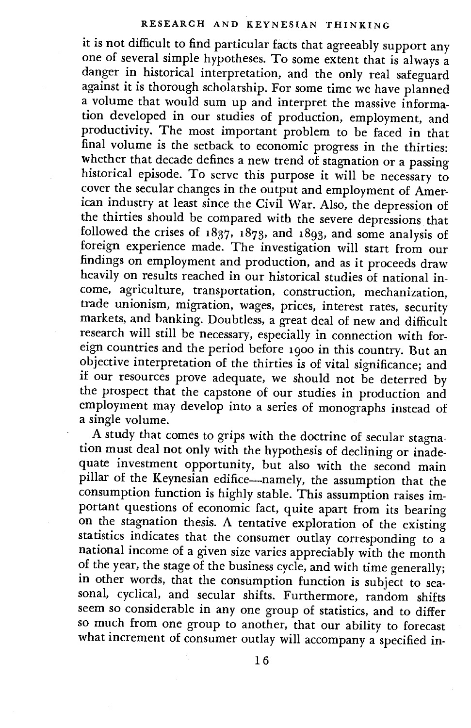it is not difficult to find particular facts that agreeably support any one of several simple hypotheses. To some extent that is always a danger in historical interpretation, and the only real safeguard against it is thorough scholarship. For some time we have planned a volume that would sum up and interpret the massive information developed in our studies of production, employment, and productivity. The most important problem to be faced in that final volume is the setback to economic progress in the thirties:<br>whether that decade defines a new trend of stagnation or a passing historical episode. To serve this purpose it will be necessary to cover the secular changes in the output and employment of American industry at least since the Civil War. Also, the depression of the thirties should be compared with the severe depressions that followed the crises of  $1837$ ,  $1873$ , and  $1893$ , and some analysis of foreign experience made. The investigation will start from our findings on employment and production, and as it proceeds draw heavily on results reached in our historical studies of national income, agriculture, transportation, construction, mechanization, markets, and banking. Doubtless, a great deal of new and difficult research will still be necessary, especially in connection with foreign countries and the period before 1900 in this country. But an objective interpretation of the thirties is of vital significance; and if our resources prove adequate, we should not be deterred by the prospect that the capstone of our studies in production and employment may develop into a series of monographs instead of a single volume.

A study that comes to grips with the doctrine of secular stagnation must deal not only with the hypothesis of declining or inadequate investment opportunity, but also with the second main pillar of the Keynesian edifice—namely, the assumption that the consumption function is highly stable. This assumption raises important questions of economic fact, quite apart from its bearing on the stagnation thesis. A tentative exploration of the existing statistics indicates that the consumer outlay corresponding to a national income of a given size varies appreciably with the month<br>of the year, the stage of the business cycle, and with time generally; in other words, that the consumption function is subject to seasonal, cyclical, and secular shifts. Furthermore, random shifts seem so considerable in any one group of statistics, and to differ so much from one group to another, that our ability to forecast what increment of consumer outlay will accompany a specified in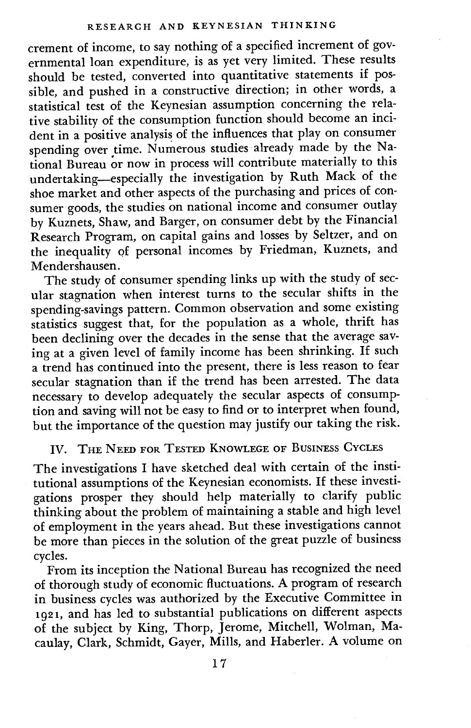crement of income, to say nothing of a specified increment of governmental loan expenditure, is as yet very limited. These results should be tested, converted into quantitative statements if possible, and pushed in a constructive direction; in other words, a statistical test of the Keynesian assumption concerning the relative stability of the consumption function should become an incident in a positive analysis of the influences that play on consumer spending over time. Numerous studies already made by the National Bureau or now in process will contribute materially to this undertaking—especially the investigation by Ruth Mack of the shoe market and other aspects of the purchasing and prices of consumer goods, the studies on national income and consumer outlay by Kuznets, Shaw, and Barger, on consumer debt by the Financial Research Program, on capital gains and losses by Seltzer, and on the inequality of personal incomes by Friedman, Kuznets, and Mendershausen.

The study of consumer spending links up with the study of secular stagnation when interest turns to the secular shifts in the spending-savings pattern. Common observation and some existing statistics suggest that, for the population as a whole, thrift has been declining over the decades in the sense that the average saving at a given level of family income has been shrinking. If such a trend has continued into the present, there is less reason to fear secular stagnation than if the trend has been arrested. The data necessary to develop adequately the secular aspects of consumption and saving will not be easy to find or to interpret when found, but the importance of the question may justify our taking the risk.

# IV. THE NEED FOR TESTED KNOWLEGE OF BUSINESS CYCLES

The investigations I have sketched deal with certain of the institutional assumptions of the Keynesian economists. If these investigations prosper they should help materially to clarify public thinking about the problem of maintaining a stable and high level of employment in the years ahead. But these investigations cannot be more than pieces in the solution of the great puzzle of business cycles.

From its inception the National Bureau has recognized the need of thorough study of economic fluctuations. A program of research in business cycles was authorized by the Executive Committee in 1921, and has led to substantial publications on different aspects of the subject by King, Thorp, Jerome, Mitchell, Wolman, Macaulay, Clark, Schmidt, Gayer, Mills, and Haberler. A volume on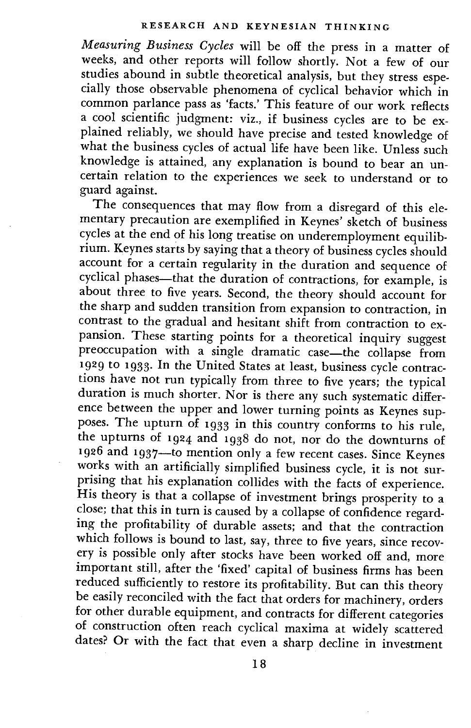Measuring Business Cycles will be off the press in a matter of weeks, and other reports will follow shortly. Not a few of our studies abound in subtle theoretical analysis, but they stress especially those observable phenomena of cyclical behavior which in common parlance pass as 'facts.' This feature of our work reflects a cool scientific judgment: viz., if business cycles are to be explained reliably, we should have precise and tested knowledge of what the business cycles of actual life have been like. Unless such knowledge is attained, any explanation is bound to bear an uncertain relation to the experiences we seek to understand or to guard against.

The consequences that may flow from a disregard of this elementary precaution are exemplified in Keynes' sketch of business cycles at the end of his long treatise on underemployment equilibrium. Keynes starts by saying that a theory of business cycles should account for a certain regularity in the duration and sequence of cyclical phases—that the duration of contractions, for example, is about three to five years. Second, the theory should account for the sharp and sudden transition from expansion to contraction, in contrast to the gradual and hesitant shift from contraction to ex-<br>pansion. These starting points for a theoretical inquiry suggest preoccupation with a single dramatic case—the collapse from 1929 to 1933. In the United States at least, business cycle contrac-<br>tions have not run typically from three to five years; the typical duration is much shorter. Nor is there any such systematic difference between the upper and lower turning points as Keynes supposes. The upturn of 1933 in this country conforms to his rule, the upturns of 1924 and 1938 do not, nor do the downturns of 1926 and 1937—to mention only a few recent cases. Since Keynes works with an artificially simplified business cycle, it is not surprising that his explanation collides with the facts of experience. His theory is that a collapse of investment brings prosperity to a close; that this in turn is caused by a collapse of confidence regarding the profitability of durable assets; and that the contraction which follows is bound to last, say, three to five years, since recovery is possible only after stocks have been worked off and, more important still, after the 'fixed' capital of business firms has been reduced sufficiently to restore its profitability. But can this theory be easily reconciled with the fact that orders for machinery, orders for other durable equipment, and contracts for different categories dates? Or with the fact that even a sharp decline in investment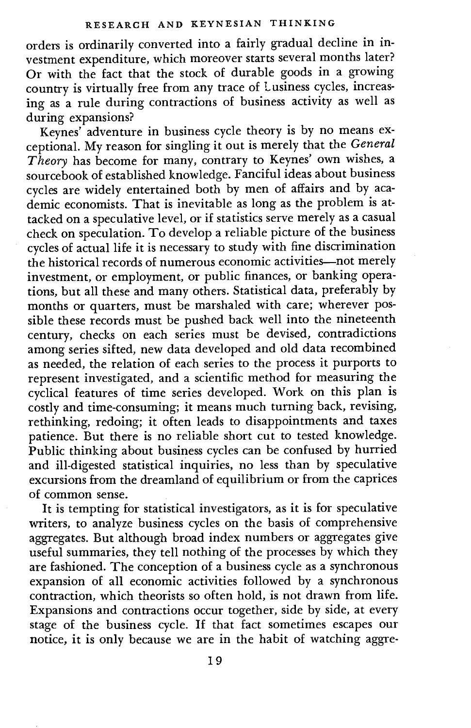orders is ordinarily converted into a fairly gradual decline in investment expenditure, which moreover starts several months later? Or with the fact that the stock of durable goods in a growing country is virtually free from any trace of Lusiness cycles, increasing as a rule during contractions of business activity as well as during expansions?

Keynes' adventure in business cycle theory is by no means exceptional. My reason for singling it out is merely that the General Theory has become for many, contrary to Keynes' own wishes, a sourcebook of established knowledge. Fanciful ideas about business cycles are widely entertained both by men of affairs and by academic economists. That is inevitable as long as the problem is attacked on a speculative level, or if statistics serve merely as a casual check on speculation. To develop a reliable picture of the business cycles of actual life it is necessary to study with fine discrimination the historical records of numerous economic activities—not merely investment, or employment, or public finances, or banking operations, but all these and many others. Statistical data, preferably by months or quarters, must be marshaled with care; wherever possible these records must be pushed back well into the nineteenth century, checks on each series must be devised, contradictions among series sifted, new data developed and old data recombined as needed, the relation of each series to the process it purports to represent investigated, and a scientific method for measuring the cyclical features of time series developed. Work on this plan is costly and time-consuming; it means much turning back, revising, rethinking, redoing; it often leads to disappointments and taxes patience. But there is no reliable short cut to tested knowledge. Public thinking about business cycles can be confused by hurried and ill-digested statistical inquiries, no less than by speculative excursions from the dreamland of equilibrium or from the caprices of common sense.

It is tempting for statistical investigators, as it is for speculative writers, to analyze business cycles on the basis of comprehensive aggregates. But although broad index numbers or aggregates give useful summaries, they tell nothing of the processes by which they are fashioned. The conception of a business cycle as a synchronous expansion of all economic activities followed by a synchronous contraction, which theorists so often hold, is not drawn from life. Expansions and contractions occur together, side by side, at every stage of the business cycle. If that fact sometimes escapes our notice, it is only because we are in the habit of watching aggre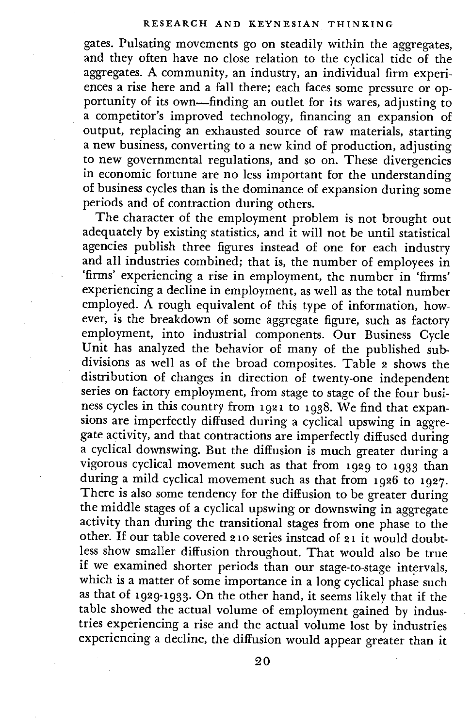gates. Pulsating movements go on steadily within the aggregates, and they often have no close relation to the cyclical tide of the aggregates. A community, an industry, an individual firm experiences a rise here and a fall there; each faces some pressure or opportunity of its own—finding an outlet for its wares, adjusting to a competitor's improved technology, financing an expansion of output, replacing an exhausted source of raw materials, starting a new business, converting to a new kind of production, adjusting to new governmental regulations, and so on. These divergencies in economic fortune are no less important for the understanding of business cycles than is the dominance of expansion during some periods and of contraction during others.

The character of the employment problem is not brought out adequately by existing statistics, and it will not be until statistical agencies publish three figures instead of one for each industry and all industries combined; that is, the number of employees in 'firms' experiencing a rise in employment, the number in 'firms' experiencing a decline in employment, as well as the total number employed. A rough equivalent of this type of information, however, is the breakdown of some aggregate figure, such as factory employment, into industrial components. Our Business Cycle Unit has analyzed the behavior of many of the published subdivisions as well as of the broad composites. Table 2 shows the distribution of changes in direction of twenty-one independent series on factory employment, from stage to stage of the four business cycles in this country from 1921 to 1938. We find that expansions are imperfectly diffused during a cyclical upswing in aggregate activity, and that contractions are imperfectly diffused during a cyclical downswing. But the diffusion is much greater during a vigorous cyclical movement such as that from 1929 to 1933 than during a mild cyclical movement such as that from 1926 to 1927. There is also some tendency for the diffusion to be greater during the middle stages of a cyclical upswing or downswing in aggregate activity than during the transitional stages from one phase to the other. If our table covered 210 series instead of 21 it would doubtless show smaller diffusion throughout. That would also be true if we examined shorter periods than our stage-to-stage intervals, which is a matter of some importance in a long cyclical phase such as that of 1929-1933. On the other hand, it seems likely that if the table showed the actual volume of employment gained by industries experiencing a rise and the actual volume lost by industries experiencing a decline, the diffusion would appear greater than it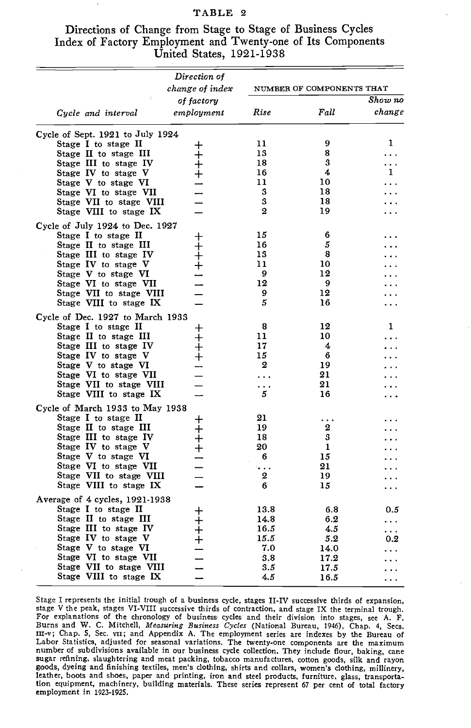#### TABLE 2

| Directions of Change from Stage to Stage of Business Cycles  |  |
|--------------------------------------------------------------|--|
| Index of Factory Employment and Twenty-one of Its Components |  |
| United States, 1921-1938                                     |  |

|                                  | Direction of        |                           |      |                      |  |
|----------------------------------|---------------------|---------------------------|------|----------------------|--|
|                                  | change of index     | NUMBER OF COMPONENTS THAT |      |                      |  |
|                                  | of factory          |                           |      | Show no              |  |
| Cycle and interval               | employment          | Rise                      | Fall | change               |  |
|                                  |                     |                           |      |                      |  |
| Cycle of Sept. 1921 to July 1924 |                     |                           |      |                      |  |
| Stage I to stage II              | $\mathrm{+}$        | 11                        | 9    | 1                    |  |
| Stage II to stage III            |                     | 13                        | 8    | $\ddot{\phantom{0}}$ |  |
| Stage III to stage IV            | $+$<br>$+$          | 18                        | 3    |                      |  |
| Stage IV to stage V              |                     | 16                        | 4    | ı                    |  |
| Stage V to stage VI              |                     | 11                        | 10   |                      |  |
| Stage VI to stage VII            |                     | 3                         | 18   |                      |  |
| Stage VII to stage VIII          |                     | 3                         | 18   |                      |  |
| Stage VIII to stage IX           |                     | 2                         | 19   |                      |  |
|                                  |                     |                           |      |                      |  |
| Cycle of July 1924 to Dec. 1927  |                     |                           |      |                      |  |
| Stage I to stage II              |                     | 15                        | 6    |                      |  |
| Stage II to stage III            |                     | 16                        | 5    |                      |  |
| Stage III to stage IV            |                     | 13                        | 8    |                      |  |
| Stage IV to stage V              |                     | 11                        | 10   |                      |  |
| Stage V to stage VI              |                     | 9                         | 12   |                      |  |
| Stage VI to stage VII            |                     | 12                        | 9    |                      |  |
| Stage VII to stage VIII          |                     | 9                         | 12   |                      |  |
| Stage VIII to stage IX           |                     | 5                         | 16   |                      |  |
| Cycle of Dec. 1927 to March 1933 |                     |                           |      |                      |  |
| Stage I to stage II              |                     | 8                         | 12   | 1                    |  |
| Stage II to stage III            |                     | 11                        | 10   |                      |  |
| Stage III to stage IV            |                     | 17                        | 4    |                      |  |
| Stage IV to stage V              |                     | 15                        | 6    |                      |  |
| Stage V to stage VI              |                     | 2                         | 19   |                      |  |
| Stage VI to stage VII            |                     |                           | 21   |                      |  |
| Stage VII to stage VIII          |                     |                           | 21   |                      |  |
|                                  | <b>++++        </b> | .<br>5                    | 16   |                      |  |
| Stage VIII to stage IX           |                     |                           |      |                      |  |
| Cycle of March 1933 to May 1938  |                     |                           |      |                      |  |
| Stage I to stage II              |                     | 21                        | .    |                      |  |
| Stage II to stage III            |                     | 19                        | 2    |                      |  |
| Stage III to stage IV            | キキキキーー              | 18                        | 3    |                      |  |
| Stage IV to stage V              |                     | 20                        | ı    |                      |  |
| Stage V to stage VI              |                     | 6                         | 15   |                      |  |
| Stage VI to stage VII            |                     | .                         | 21   |                      |  |
| Stage VII to stage VIII          |                     | 2                         | 19   |                      |  |
| Stage VIII to stage IX           |                     | 6                         | 15   |                      |  |
| Average of 4 cycles, 1921-1938   |                     |                           |      |                      |  |
| Stage I to stage II              |                     | 13.8                      | 6.8  | 0.5                  |  |
| Stage II to stage III            |                     | 14.8                      | 6.2  |                      |  |
| Stage III to stage IV            |                     | 16.5                      | 4.5  | .                    |  |
| Stage IV to stage V              |                     | 15.5                      | 5.2  | .                    |  |
|                                  |                     |                           |      | 0.2                  |  |
| Stage V to stage VI              | <b>++++      </b>   | 7.0                       | 14.0 |                      |  |
| Stage VI to stage VII            |                     | 3.8                       | 17.2 |                      |  |
| Stage VII to stage VIII          |                     | $_{3.5}$                  | 17.5 |                      |  |
| Stage VIII to stage IX           |                     | 4.5                       | 16.5 | .                    |  |

Stage I represents the initial trough of a business cycle, stages II-IV successive thirds of expansion, stage V the peak, stages VI-VIII successive thirds of contraction, and stage IX the terminal trough. For explanations number of subdivisions available in our business cycle collection. They include flour, baking, cane sugar refining, slaughtering and meat packing, tobacco manufactures, cotton goods, silk and rayon goods, dyeing and finishing textiles, men's clothing, shirts and collars, women's clothing, millinery, Ieather, boots and shoes, paper and printing, iron and steel products, furniture, glass, transportation equipment, machinery, building materials. These series represent 67 per cent of total factory employment in 1923-1925.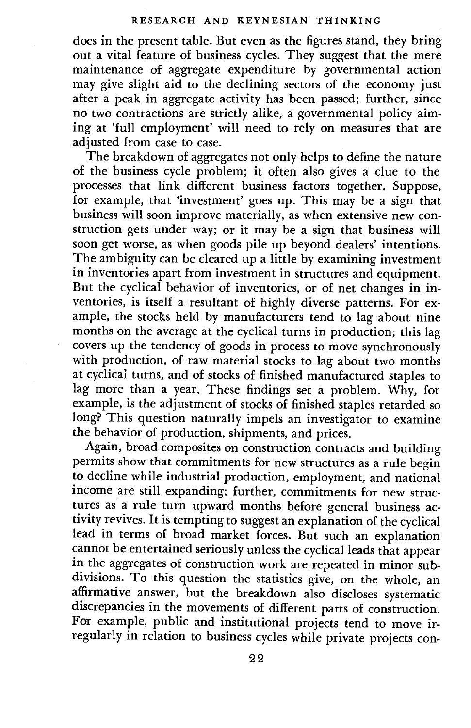does in the present table. But even as the figures stand, they bring out a vital feature of business cycles. They suggest that the mere maintenance of aggregate expenditure by governmental action may give slight aid to the declining sectors of the economy just after a peak in aggregate activity has been passed; further, since no two contractions are strictly alike, a governmental policy aiming at 'full employment' will need to rely on measures that are adjusted from case to case.

The breakdown of aggregates not only helps to define the nature of the business cycle problem; it often also gives a clue to the processes that link different business factors together. Suppose, for example, that 'investment' goes up. This may be a sign that business will soon improve materially, as when extensive new construction gets under way; or it may be a sign that business will soon get worse, as when goods pile up beyond dealers' intentions. The ambiguity can be cleared up a little by examining investment in inventories apart from investment in structures and equipment. But the cyclical behavior of inventories, or of net changes in inventories, is itself a resultant of highly diverse patterns. For example, the stocks held by manufacturers tend to lag about nine months on the average at the cyclical turns in production; this lag covers up the tendency of goods in process to move synchronously with production, of raw material stocks to lag about two months at cyclical turns, and of stocks of finished manufactured staples to lag more than a year. These findings set a problem. Why, for example, is the adjustment of stocks of finished staples retarded so long? This question naturally impels an investigator to examine the behavior of production, shipments, and prices.

Again, broad composites on construction contracts and building permits show that commitments for new structures as a rule begin to decline while industrial production, employment, and national income are still expanding; further, commitments for new structures as a rule turn upward months before general business activity revives. It is tempting to suggest an explanation of the cyclical lead in terms of broad market forces. But such an explanation cannot be entertained seriously unless the cyclical leads that appear in the aggregates of construction work are repeated in minor subdivisions. To this question the statistics give, on the whole, an affirmative answer, but the breakdown also discloses systematic discrepancies in the movements of different parts of construction. For example, public and institutional projects tend to move irregularly in relation to business cycles while private projects con-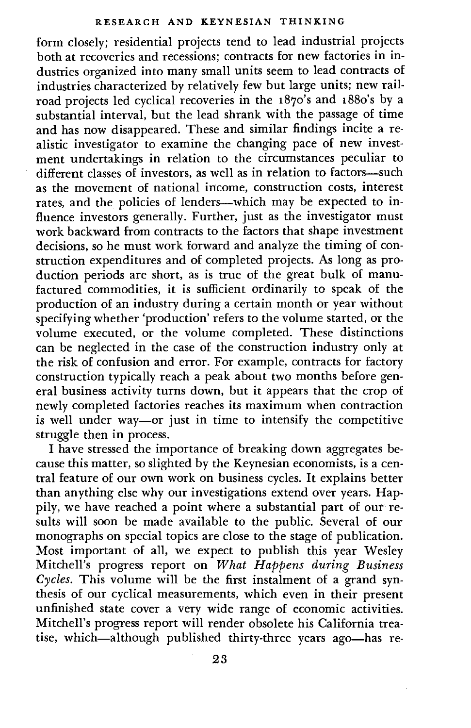form closely; residential projects tend to lead industrial projects both at recoveries and recessions; contracts for new factories in industries organized into many small units seem to lead contracts of industries characterized by relatively few but large units; new railroad projects led cyclical recoveries in the 1870's and i88o's by a substantial interval, but the lead shrank with the passage of time and has now disappeared. These and similar findings incite a realistic investigator to examine the changing pace of new investment undertakings in relation to the circumstances peculiar to different classes of investors, as well as in relation to factors—such as the movement of national income, construction costs, interest rates, and the policies of lenders—which may be expected to influence investors generally. Further, just as the investigator must work backward from contracts to the factors that shape investment decisions, so he must work forward and analyze the timing of construction expenditures and of completed projects. As long as production periods are short, as is true of the great bulk of manufactured commodities, it is sufficient ordinarily to speak of the production of an industry during a certain month or year without specifying whether 'production' refers to the volume started, or the volume executed, or the volume completed. These distinctions can be neglected in the case of the construction industry only at the risk of confusion and error. For example, contracts for factory construction typically reach a peak about two months before general business activity turns down, but it appears that the crop of newly completed factories reaches its maximum when contraction is well under way—or just in time to intensify the competitive struggle then in process.

I have stressed the importance of breaking down aggregates because this matter, so slighted by the Keynesian economists, is a central feature of our own work on business cycles. It explains better than anything else why our investigations extend over years. Happily, we have reached a point where a substantial part of our results will soon be made available to the public. Several of our monographs on special topics are close to the stage of publication. Most important of all, we expect to publish this year Wesley Mitchell's progress report on What Happens during Business Cycles. This volume will be the first instalment of a grand synthesis of our cyclical measurements, which even in their present unfinished state cover a very wide range of economic activities. Mitchell's progress report will render obsolete his California treatise, which—although published thirty-three years ago—has re-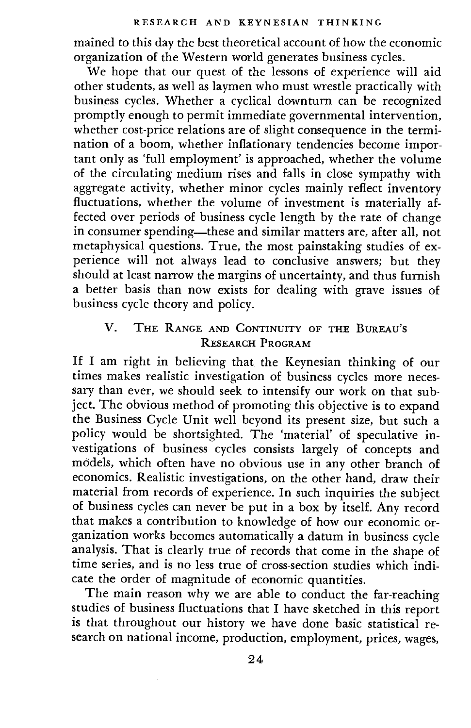#### RESEARCH AND KEYNESIAN THINKING

mained to this day the best theoretical account of how the economic organization of the Western world generates business cycles.

We hope that our quest of the lessons of experience will aid other students, as well as laymen who must wrestle practically with business cycles. Whether a cyclical downturn can be recognized promptly enough to permit immediate governmental intervention, whether cost-price relations are of slight consequence in the termination of a boom, whether inflationary tendencies become important only as 'full employment' is approached, whether the volume of the circulating medium rises and falls in close sympathy with aggregate activity, whether minor cycles mainly reflect inventory fluctuations, whether the volume of investment is materially affected over periods of business cycle length by the rate of change in consumer spending—these and similar matters are, after all, not metaphysical questions. True, the most painstaking studies of experience will not always lead to conclusive answers; but they should at least narrow the margins of uncertainty, and thus furnish a better basis than now exists for dealing with grave issues of business cycle theory and policy.

### V. THE RANGE AND CONTINUITY OF THE BUREAU'S RESEARCH PROGRAM

If I am right in believing that the Keynesian thinking of our times makes realistic investigation of business cycles more necessary than ever, we should seek to intensify our work on that subject. The obvious method of promoting this objective is to expand the Business Cycle Unit well beyond its present size, but such a policy would be shortsighted. The 'material' of speculative investigations of business cycles consists largely of concepts and models, which often have no obvious use in any other branch of economics. Realistic investigations, on the other hand, draw their material from records of experience. In such inquiries the subject of business cycles can never be put in a box by itself. Any record that makes a contribution to knowledge of how our economic organization works becomes automatically a datum in business cycle analysis. That is clearly true of records that come in the shape of time series, and is no less true of cross-section studies which indicate the order of magnitude of economic quantities.

The main reason why we are able to conduct the far-reaching studies of business fluctuations that I have sketched in this report is that throughout our history we have done basic statistical research on national income, production, employment, prices, wages,